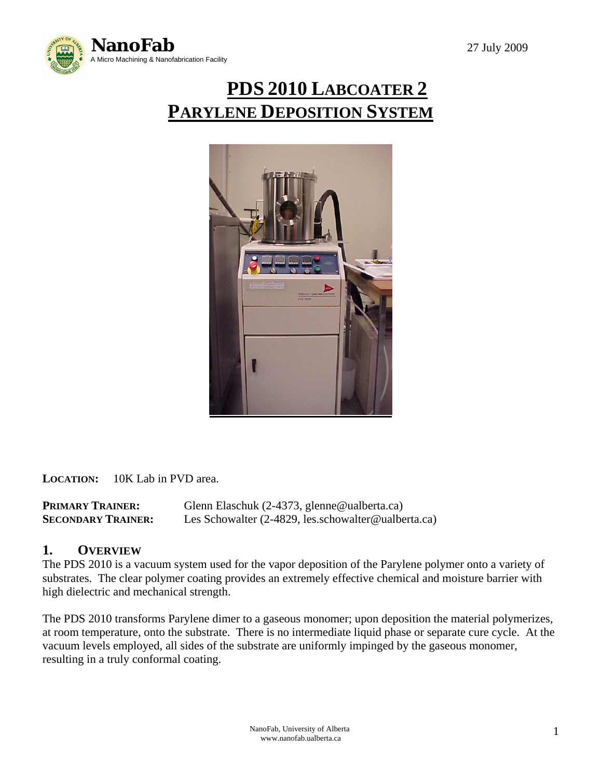

# **PDS 2010 LABCOATER 2 PARYLENE DEPOSITION SYSTEM**



**LOCATION:** 10K Lab in PVD area.

**PRIMARY TRAINER:** Glenn Elaschuk (2-4373, glenne@ualberta.ca) **SECONDARY TRAINER:** Les Schowalter (2-4829, les.schowalter@ualberta.ca)

# **1. OVERVIEW**

The PDS 2010 is a vacuum system used for the vapor deposition of the Parylene polymer onto a variety of substrates. The clear polymer coating provides an extremely effective chemical and moisture barrier with high dielectric and mechanical strength.

The PDS 2010 transforms Parylene dimer to a gaseous monomer; upon deposition the material polymerizes, at room temperature, onto the substrate. There is no intermediate liquid phase or separate cure cycle. At the vacuum levels employed, all sides of the substrate are uniformly impinged by the gaseous monomer, resulting in a truly conformal coating.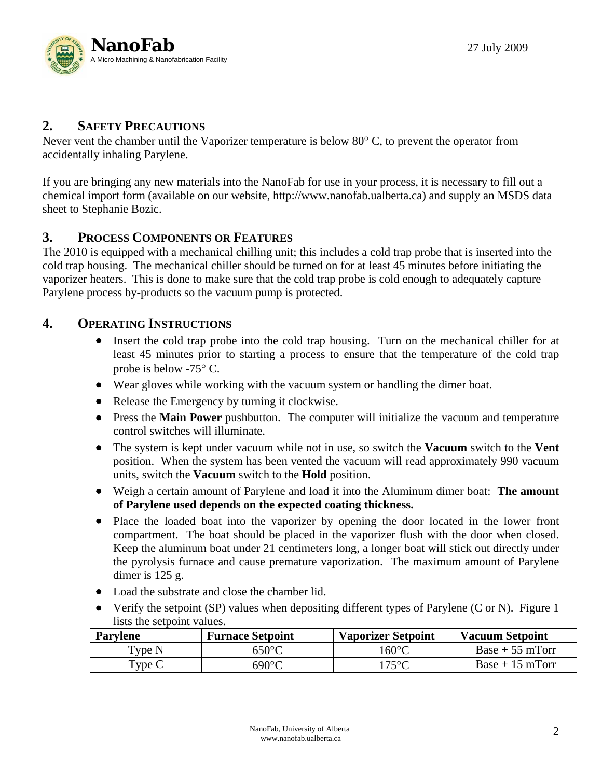

# **2. SAFETY PRECAUTIONS**

Never vent the chamber until the Vaporizer temperature is below 80 $\degree$ C, to prevent the operator from accidentally inhaling Parylene.

If you are bringing any new materials into the NanoFab for use in your process, it is necessary to fill out a chemical import form (available on our website, http://www.nanofab.ualberta.ca) and supply an MSDS data sheet to Stephanie Bozic.

# **3. PROCESS COMPONENTS OR FEATURES**

The 2010 is equipped with a mechanical chilling unit; this includes a cold trap probe that is inserted into the cold trap housing. The mechanical chiller should be turned on for at least 45 minutes before initiating the vaporizer heaters. This is done to make sure that the cold trap probe is cold enough to adequately capture Parylene process by-products so the vacuum pump is protected.

#### **4. OPERATING INSTRUCTIONS**

- Insert the cold trap probe into the cold trap housing. Turn on the mechanical chiller for at least 45 minutes prior to starting a process to ensure that the temperature of the cold trap probe is below -75° C.
- Wear gloves while working with the vacuum system or handling the dimer boat.
- Release the Emergency by turning it clockwise.
- Press the **Main Power** pushbutton. The computer will initialize the vacuum and temperature control switches will illuminate.
- The system is kept under vacuum while not in use, so switch the **Vacuum** switch to the **Vent** position. When the system has been vented the vacuum will read approximately 990 vacuum units, switch the **Vacuum** switch to the **Hold** position.
- Weigh a certain amount of Parylene and load it into the Aluminum dimer boat: **The amount of Parylene used depends on the expected coating thickness.**
- Place the loaded boat into the vaporizer by opening the door located in the lower front compartment. The boat should be placed in the vaporizer flush with the door when closed. Keep the aluminum boat under 21 centimeters long, a longer boat will stick out directly under the pyrolysis furnace and cause premature vaporization. The maximum amount of Parylene dimer is 125 g.
- Load the substrate and close the chamber lid.
- Verify the setpoint (SP) values when depositing different types of Parylene (C or N). Figure 1 lists the setpoint values.

| <b>Parylene</b> | <b>Furnace Setpoint</b> | <b>Vaporizer Setpoint</b> | <b>Vacuum Setpoint</b> |
|-----------------|-------------------------|---------------------------|------------------------|
| 'ype N          | $650^{\circ}$ C         | 160°C                     | $Base + 55$ mTorr      |
| 'ype C          | $690^{\circ}$ C         | 175°C                     | $Base + 15 mTorr$      |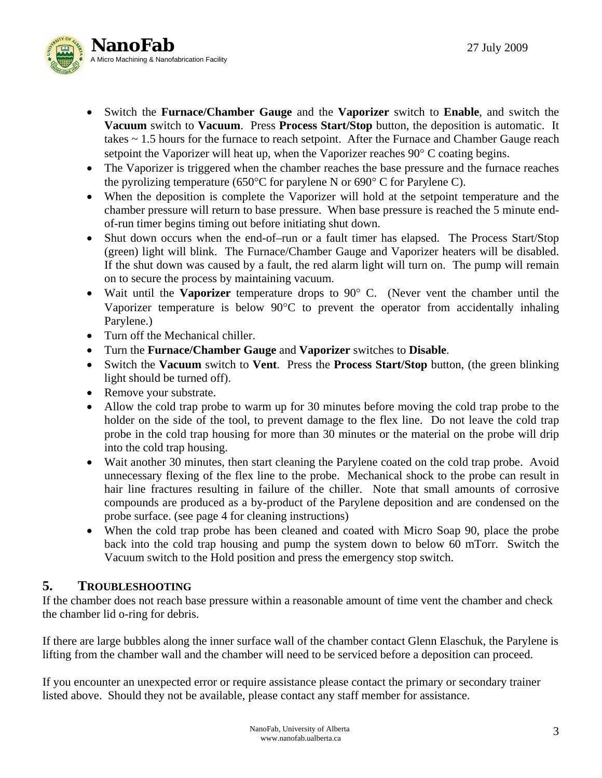

- Switch the **Furnace/Chamber Gauge** and the **Vaporizer** switch to **Enable**, and switch the **Vacuum** switch to **Vacuum**. Press **Process Start/Stop** button, the deposition is automatic. It takes ~ 1.5 hours for the furnace to reach setpoint. After the Furnace and Chamber Gauge reach setpoint the Vaporizer will heat up, when the Vaporizer reaches 90° C coating begins.
- The Vaporizer is triggered when the chamber reaches the base pressure and the furnace reaches the pyrolizing temperature (650°C for parylene N or 690° C for Parylene C).
- When the deposition is complete the Vaporizer will hold at the setpoint temperature and the chamber pressure will return to base pressure. When base pressure is reached the 5 minute endof-run timer begins timing out before initiating shut down.
- Shut down occurs when the end-of–run or a fault timer has elapsed. The Process Start/Stop (green) light will blink. The Furnace/Chamber Gauge and Vaporizer heaters will be disabled. If the shut down was caused by a fault, the red alarm light will turn on. The pump will remain on to secure the process by maintaining vacuum.
- Wait until the **Vaporizer** temperature drops to 90° C. (Never vent the chamber until the Vaporizer temperature is below 90°C to prevent the operator from accidentally inhaling Parylene.)
- Turn off the Mechanical chiller.
- Turn the **Furnace/Chamber Gauge** and **Vaporizer** switches to **Disable**.
- Switch the **Vacuum** switch to **Vent**. Press the **Process Start/Stop** button, (the green blinking light should be turned off).
- Remove your substrate.
- Allow the cold trap probe to warm up for 30 minutes before moving the cold trap probe to the holder on the side of the tool, to prevent damage to the flex line. Do not leave the cold trap probe in the cold trap housing for more than 30 minutes or the material on the probe will drip into the cold trap housing.
- Wait another 30 minutes, then start cleaning the Parylene coated on the cold trap probe. Avoid unnecessary flexing of the flex line to the probe. Mechanical shock to the probe can result in hair line fractures resulting in failure of the chiller. Note that small amounts of corrosive compounds are produced as a by-product of the Parylene deposition and are condensed on the probe surface. (see page 4 for cleaning instructions)
- When the cold trap probe has been cleaned and coated with Micro Soap 90, place the probe back into the cold trap housing and pump the system down to below 60 mTorr. Switch the Vacuum switch to the Hold position and press the emergency stop switch.

# **5. TROUBLESHOOTING**

If the chamber does not reach base pressure within a reasonable amount of time vent the chamber and check the chamber lid o-ring for debris.

If there are large bubbles along the inner surface wall of the chamber contact Glenn Elaschuk, the Parylene is lifting from the chamber wall and the chamber will need to be serviced before a deposition can proceed.

If you encounter an unexpected error or require assistance please contact the primary or secondary trainer listed above. Should they not be available, please contact any staff member for assistance.